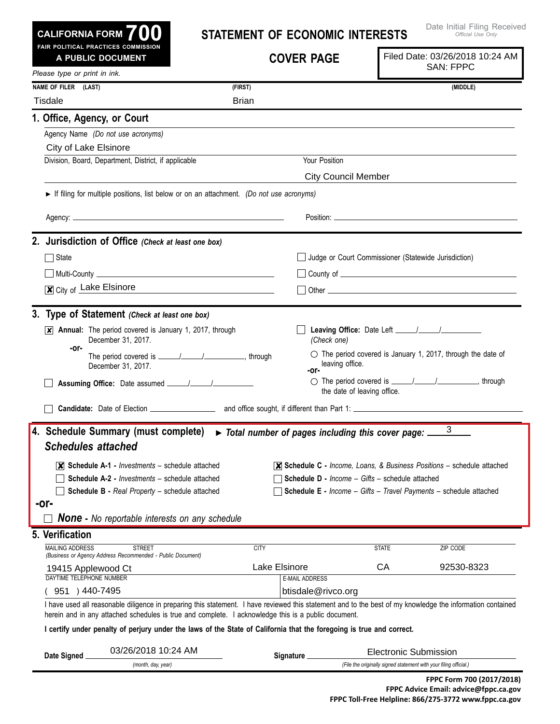| CALIFORNIA FORM $700$                                                                                                                                                                                                                                                                                          | <b>STATEMENT OF ECONOMIC INTERESTS</b>                                                                                                                                                                                               |                                                 | Date Initial Filing Received<br>Official Use Only                                                                                                                      |  |
|----------------------------------------------------------------------------------------------------------------------------------------------------------------------------------------------------------------------------------------------------------------------------------------------------------------|--------------------------------------------------------------------------------------------------------------------------------------------------------------------------------------------------------------------------------------|-------------------------------------------------|------------------------------------------------------------------------------------------------------------------------------------------------------------------------|--|
| FAIR POLITICAL PRACTICES COMMISSION<br>A PUBLIC DOCUMENT                                                                                                                                                                                                                                                       |                                                                                                                                                                                                                                      | <b>COVER PAGE</b>                               | Filed Date: 03/26/2018 10:24 AM<br><b>SAN: FPPC</b>                                                                                                                    |  |
| Please type or print in ink.                                                                                                                                                                                                                                                                                   |                                                                                                                                                                                                                                      |                                                 |                                                                                                                                                                        |  |
| NAME OF FILER (LAST)                                                                                                                                                                                                                                                                                           | (FIRST)                                                                                                                                                                                                                              |                                                 | (MIDDLE)                                                                                                                                                               |  |
| <b>Tisdale</b>                                                                                                                                                                                                                                                                                                 | <b>Brian</b>                                                                                                                                                                                                                         |                                                 |                                                                                                                                                                        |  |
| 1. Office, Agency, or Court                                                                                                                                                                                                                                                                                    |                                                                                                                                                                                                                                      |                                                 |                                                                                                                                                                        |  |
| Agency Name (Do not use acronyms)                                                                                                                                                                                                                                                                              |                                                                                                                                                                                                                                      |                                                 |                                                                                                                                                                        |  |
| City of Lake Elsinore                                                                                                                                                                                                                                                                                          |                                                                                                                                                                                                                                      |                                                 |                                                                                                                                                                        |  |
| Division, Board, Department, District, if applicable                                                                                                                                                                                                                                                           |                                                                                                                                                                                                                                      | Your Position                                   |                                                                                                                                                                        |  |
|                                                                                                                                                                                                                                                                                                                |                                                                                                                                                                                                                                      | <b>City Council Member</b>                      |                                                                                                                                                                        |  |
| If filing for multiple positions, list below or on an attachment. (Do not use acronyms)                                                                                                                                                                                                                        |                                                                                                                                                                                                                                      |                                                 |                                                                                                                                                                        |  |
|                                                                                                                                                                                                                                                                                                                |                                                                                                                                                                                                                                      |                                                 |                                                                                                                                                                        |  |
|                                                                                                                                                                                                                                                                                                                |                                                                                                                                                                                                                                      |                                                 |                                                                                                                                                                        |  |
| 2. Jurisdiction of Office (Check at least one box)                                                                                                                                                                                                                                                             |                                                                                                                                                                                                                                      |                                                 |                                                                                                                                                                        |  |
| State                                                                                                                                                                                                                                                                                                          |                                                                                                                                                                                                                                      |                                                 | Judge or Court Commissioner (Statewide Jurisdiction)                                                                                                                   |  |
|                                                                                                                                                                                                                                                                                                                |                                                                                                                                                                                                                                      |                                                 |                                                                                                                                                                        |  |
| City of Lake Elsinore                                                                                                                                                                                                                                                                                          | <u> 1980 - Andrea Aonaich, ann an t-Èireann an t-Èireann an t-Èireann an t-Èireann an t-Èireann an t-Èireann an t-Èireann an t-Èireann an t-Èireann an t-Èireann an t-Èireann an t-Èireann an t-Èireann an t-Èireann an t-Èirean</u> |                                                 |                                                                                                                                                                        |  |
|                                                                                                                                                                                                                                                                                                                |                                                                                                                                                                                                                                      |                                                 |                                                                                                                                                                        |  |
| 3. Type of Statement (Check at least one box)                                                                                                                                                                                                                                                                  |                                                                                                                                                                                                                                      |                                                 |                                                                                                                                                                        |  |
| $\overline{x}$ Annual: The period covered is January 1, 2017, through<br>December 31, 2017.<br>-or-                                                                                                                                                                                                            |                                                                                                                                                                                                                                      | (Check one)                                     |                                                                                                                                                                        |  |
| December 31, 2017.                                                                                                                                                                                                                                                                                             |                                                                                                                                                                                                                                      | leaving office.<br>-or-                         | $\circlearrowright$ The period covered is January 1, 2017, through the date of                                                                                         |  |
|                                                                                                                                                                                                                                                                                                                |                                                                                                                                                                                                                                      | the date of leaving office.                     | ○ The period covered is <u>______/______/</u> ________________, through                                                                                                |  |
|                                                                                                                                                                                                                                                                                                                |                                                                                                                                                                                                                                      |                                                 |                                                                                                                                                                        |  |
| 4. Schedule Summary (must complete) > Total number of pages including this cover page:<br><b>Schedules attached</b><br>$ \mathsf{X} $ Schedule A-1 - <i>Investments</i> – schedule attached<br><b>Schedule A-2 - Investments - schedule attached</b><br>Schedule B - Real Property - schedule attached<br>-or- |                                                                                                                                                                                                                                      | Schedule D - Income - Gifts - schedule attached | 3<br>$\overline{\mathsf{x}}$ Schedule C - Income, Loans, & Business Positions – schedule attached<br>Schedule E - Income - Gifts - Travel Payments - schedule attached |  |
| <b>None -</b> No reportable interests on any schedule                                                                                                                                                                                                                                                          |                                                                                                                                                                                                                                      |                                                 |                                                                                                                                                                        |  |
| 5. Verification<br><b>MAILING ADDRESS</b><br><b>STREET</b>                                                                                                                                                                                                                                                     | <b>CITY</b>                                                                                                                                                                                                                          |                                                 | <b>STATE</b><br>ZIP CODE                                                                                                                                               |  |
| (Business or Agency Address Recommended - Public Document)                                                                                                                                                                                                                                                     |                                                                                                                                                                                                                                      |                                                 |                                                                                                                                                                        |  |
| 19415 Applewood Ct                                                                                                                                                                                                                                                                                             | Lake Elsinore                                                                                                                                                                                                                        |                                                 | СA<br>92530-8323                                                                                                                                                       |  |
| DAYTIME TELEPHONE NUMBER<br>951 ) 440-7495                                                                                                                                                                                                                                                                     |                                                                                                                                                                                                                                      | <b>E-MAIL ADDRESS</b><br>btisdale@rivco.org     |                                                                                                                                                                        |  |
| I have used all reasonable diligence in preparing this statement. I have reviewed this statement and to the best of my knowledge the information contained                                                                                                                                                     |                                                                                                                                                                                                                                      |                                                 |                                                                                                                                                                        |  |
| herein and in any attached schedules is true and complete. I acknowledge this is a public document.                                                                                                                                                                                                            |                                                                                                                                                                                                                                      |                                                 |                                                                                                                                                                        |  |
| I certify under penalty of perjury under the laws of the State of California that the foregoing is true and correct.                                                                                                                                                                                           |                                                                                                                                                                                                                                      |                                                 |                                                                                                                                                                        |  |
|                                                                                                                                                                                                                                                                                                                |                                                                                                                                                                                                                                      |                                                 |                                                                                                                                                                        |  |
| 03/26/2018 10:24 AM<br>Date Signed                                                                                                                                                                                                                                                                             |                                                                                                                                                                                                                                      | Signature.                                      | <b>Electronic Submission</b>                                                                                                                                           |  |

| <b>Sianed</b> |                    | -iounumo ogunilasiun                                          |  |
|---------------|--------------------|---------------------------------------------------------------|--|
|               | (month, day, year) | " the originally signed statement with your filing official.) |  |
|               |                    |                                                               |  |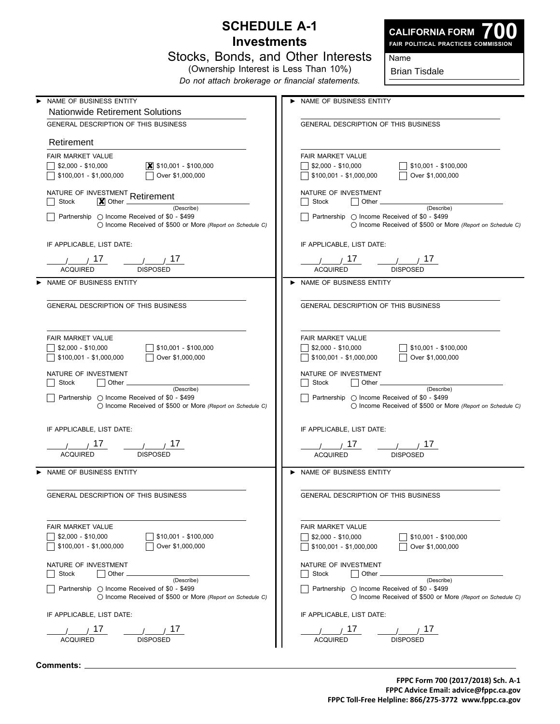## **Schedule A-1 Investments**



**700 Fair Political Practices Commission**

| Stocks, Bonds, and Other Interests    |  |  |
|---------------------------------------|--|--|
| (Ownership Interest is Less Than 10%) |  |  |

*Do not attach brokerage or financial statements.*

Brian Tisdale

Name

| NAME OF BUSINESS ENTITY                                                                                                          | > NAME OF BUSINESS ENTITY                                                                                                        |
|----------------------------------------------------------------------------------------------------------------------------------|----------------------------------------------------------------------------------------------------------------------------------|
| <b>Nationwide Retirement Solutions</b>                                                                                           |                                                                                                                                  |
| GENERAL DESCRIPTION OF THIS BUSINESS                                                                                             | <b>GENERAL DESCRIPTION OF THIS BUSINESS</b>                                                                                      |
| Retirement                                                                                                                       |                                                                                                                                  |
| <b>FAIR MARKET VALUE</b>                                                                                                         | <b>FAIR MARKET VALUE</b>                                                                                                         |
| $\boxed{\mathsf{X}}$ \$10,001 - \$100,000<br>  \$2,000 - \$10,000                                                                | \$2,000 - \$10,000<br>$\frac{1}{2}$ \$10,001 - \$100,000                                                                         |
| $\Box$ Over \$1,000,000<br>$\vert$ \$100,001 - \$1,000,000                                                                       | $\frac{1}{2}$ \$100,001 - \$1,000,000<br>Over \$1,000,000                                                                        |
| NATURE OF INVESTMENT Retirement                                                                                                  | NATURE OF INVESTMENT                                                                                                             |
| <b>Stock</b><br>$\vert \mathbf{X} \vert$ Other<br>(Describe)                                                                     | Stock<br>$ $   Other $_-$<br>(Describe)                                                                                          |
| Partnership ◯ Income Received of \$0 - \$499<br>◯ Income Received of \$500 or More (Report on Schedule C)                        | Partnership ◯ Income Received of \$0 - \$499<br>◯ Income Received of \$500 or More (Report on Schedule C)                        |
| IF APPLICABLE, LIST DATE:                                                                                                        | IF APPLICABLE, LIST DATE:                                                                                                        |
|                                                                                                                                  |                                                                                                                                  |
| <b>ACQUIRED</b><br><b>DISPOSED</b>                                                                                               | <b>ACQUIRED</b><br><b>DISPOSED</b>                                                                                               |
| NAME OF BUSINESS ENTITY                                                                                                          | NAME OF BUSINESS ENTITY                                                                                                          |
|                                                                                                                                  |                                                                                                                                  |
| <b>GENERAL DESCRIPTION OF THIS BUSINESS</b>                                                                                      | GENERAL DESCRIPTION OF THIS BUSINESS                                                                                             |
| FAIR MARKET VALUE                                                                                                                | <b>FAIR MARKET VALUE</b>                                                                                                         |
| $$2,000 - $10,000$<br>$$10,001 - $100,000$                                                                                       | $$2,000 - $10,000$<br>\$10,001 - \$100,000                                                                                       |
| \$100,001 - \$1,000,000<br>Over \$1,000,000                                                                                      | \$100,001 - \$1,000,000<br>Over \$1,000,000                                                                                      |
|                                                                                                                                  |                                                                                                                                  |
| NATURE OF INVESTMENT<br>Stock                                                                                                    | NATURE OF INVESTMENT<br>    Other ___________<br>Stock                                                                           |
| (Describe)<br>Partnership $\bigcirc$ Income Received of \$0 - \$499<br>◯ Income Received of \$500 or More (Report on Schedule C) | (Describe)<br>  Partnership ○ Income Received of \$0 - \$499<br>◯ Income Received of \$500 or More (Report on Schedule C)        |
| IF APPLICABLE, LIST DATE:                                                                                                        | IF APPLICABLE, LIST DATE:                                                                                                        |
|                                                                                                                                  |                                                                                                                                  |
| $\frac{1}{\sqrt{1-\frac{1}{2}}}$ 17<br>$\frac{1}{2}$ $\frac{17}{2}$<br><b>ACQUIRED</b><br><b>DISPOSED</b>                        | $\frac{1}{2}$ $\frac{17}{2}$ $\frac{1}{2}$ $\frac{17}{2}$<br><b>ACQUIRED</b><br><b>DISPOSED</b>                                  |
|                                                                                                                                  |                                                                                                                                  |
| NAME OF BUSINESS ENTITY                                                                                                          | NAME OF BUSINESS ENTITY                                                                                                          |
| GENERAL DESCRIPTION OF THIS BUSINESS                                                                                             | <b>GENERAL DESCRIPTION OF THIS BUSINESS</b>                                                                                      |
| FAIR MARKET VALUE                                                                                                                | <b>FAIR MARKET VALUE</b>                                                                                                         |
| $$2,000 - $10,000$<br>\$10,001 - \$100,000                                                                                       | $$2,000 - $10,000$<br>\$10,001 - \$100,000                                                                                       |
| \$100,001 - \$1,000,000<br>Over \$1,000,000                                                                                      | $$100,001 - $1,000,000$<br>Over \$1,000,000                                                                                      |
| NATURE OF INVESTMENT                                                                                                             | NATURE OF INVESTMENT                                                                                                             |
| Other<br>Stock                                                                                                                   | Other<br>Stock                                                                                                                   |
| (Describe)<br>Partnership $\bigcirc$ Income Received of \$0 - \$499<br>◯ Income Received of \$500 or More (Report on Schedule C) | (Describe)<br>Partnership $\bigcirc$ Income Received of \$0 - \$499<br>◯ Income Received of \$500 or More (Report on Schedule C) |
| IF APPLICABLE, LIST DATE:                                                                                                        | IF APPLICABLE, LIST DATE:                                                                                                        |
| 17 <sup>17</sup><br>$1\ell$                                                                                                      | 17<br>1 <sup>2</sup>                                                                                                             |
| <b>DISPOSED</b><br><b>ACQUIRED</b>                                                                                               | <b>ACQUIRED</b><br><b>DISPOSED</b>                                                                                               |
|                                                                                                                                  |                                                                                                                                  |

**Comments:**